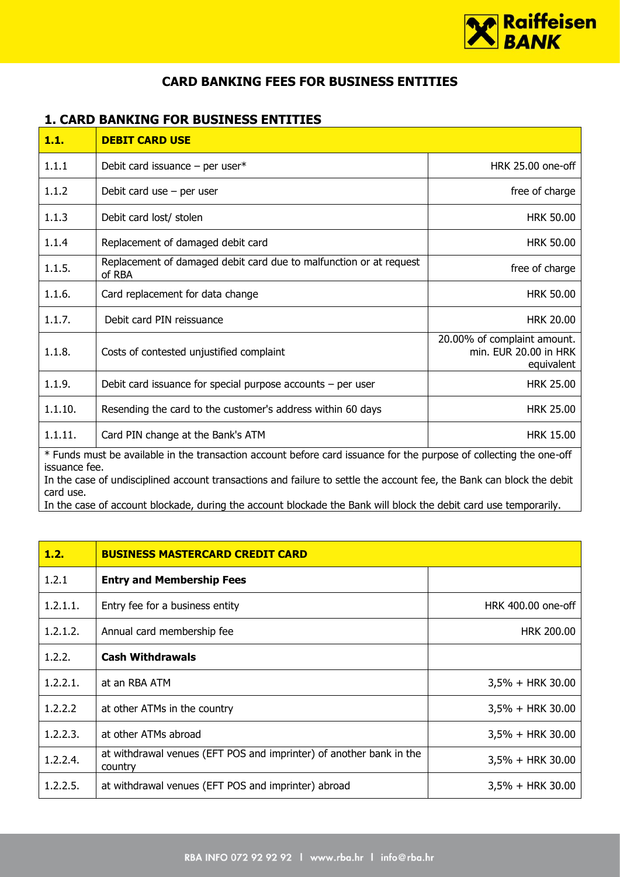

## **CARD BANKING FEES FOR BUSINESS ENTITIES**

## **1. CARD BANKING FOR BUSINESS ENTITIES**

| 1.1.                                                                                                                                                                                                                                                                                                                                                                                           | <b>DEBIT CARD USE</b>                                                        |                                                                    |  |
|------------------------------------------------------------------------------------------------------------------------------------------------------------------------------------------------------------------------------------------------------------------------------------------------------------------------------------------------------------------------------------------------|------------------------------------------------------------------------------|--------------------------------------------------------------------|--|
| 1.1.1                                                                                                                                                                                                                                                                                                                                                                                          | Debit card issuance $-$ per user*                                            | HRK 25.00 one-off                                                  |  |
| 1.1.2                                                                                                                                                                                                                                                                                                                                                                                          | Debit card use $-$ per user                                                  | free of charge                                                     |  |
| 1.1.3                                                                                                                                                                                                                                                                                                                                                                                          | Debit card lost/ stolen                                                      | <b>HRK 50.00</b>                                                   |  |
| 1.1.4                                                                                                                                                                                                                                                                                                                                                                                          | Replacement of damaged debit card                                            | <b>HRK 50.00</b>                                                   |  |
| 1.1.5.                                                                                                                                                                                                                                                                                                                                                                                         | Replacement of damaged debit card due to malfunction or at request<br>of RBA | free of charge                                                     |  |
| 1.1.6.                                                                                                                                                                                                                                                                                                                                                                                         | Card replacement for data change                                             | <b>HRK 50.00</b>                                                   |  |
| 1.1.7.                                                                                                                                                                                                                                                                                                                                                                                         | Debit card PIN reissuance                                                    | <b>HRK 20.00</b>                                                   |  |
| 1.1.8.                                                                                                                                                                                                                                                                                                                                                                                         | Costs of contested unjustified complaint                                     | 20.00% of complaint amount.<br>min. EUR 20.00 in HRK<br>equivalent |  |
| 1.1.9.                                                                                                                                                                                                                                                                                                                                                                                         | Debit card issuance for special purpose accounts $-$ per user                | <b>HRK 25.00</b>                                                   |  |
| 1.1.10.                                                                                                                                                                                                                                                                                                                                                                                        | Resending the card to the customer's address within 60 days                  | <b>HRK 25.00</b>                                                   |  |
| 1.1.11.                                                                                                                                                                                                                                                                                                                                                                                        | Card PIN change at the Bank's ATM                                            | <b>HRK 15.00</b>                                                   |  |
| * Funds must be available in the transaction account before card issuance for the purpose of collecting the one-off<br>issuance fee.<br>In the case of undisciplined account transactions and failure to settle the account fee, the Bank can block the debit<br>card use.<br>In the case of account blockade, during the account blockade the Bank will block the debit card use temporarily. |                                                                              |                                                                    |  |

| 1.2.        | <b>BUSINESS MASTERCARD CREDIT CARD</b>                                         |                     |
|-------------|--------------------------------------------------------------------------------|---------------------|
| 1.2.1       | <b>Entry and Membership Fees</b>                                               |                     |
| 1.2.1.1.    | Entry fee for a business entity                                                | HRK 400.00 one-off  |
| 1.2.1.2.    | Annual card membership fee                                                     | <b>HRK 200.00</b>   |
| 1.2.2.      | <b>Cash Withdrawals</b>                                                        |                     |
| 1, 2, 2, 1, | at an RBA ATM                                                                  | $3,5\% + HRK 30.00$ |
| 1.2.2.2     | at other ATMs in the country                                                   | $3,5\% + HRK 30.00$ |
| 1.2.2.3.    | at other ATMs abroad                                                           | $3,5\% + HRK 30.00$ |
| 1.2.2.4.    | at withdrawal venues (EFT POS and imprinter) of another bank in the<br>country | $3,5\% + HRK 30.00$ |
| 1.2.2.5.    | at withdrawal venues (EFT POS and imprinter) abroad                            | $3,5\% + HRK 30.00$ |